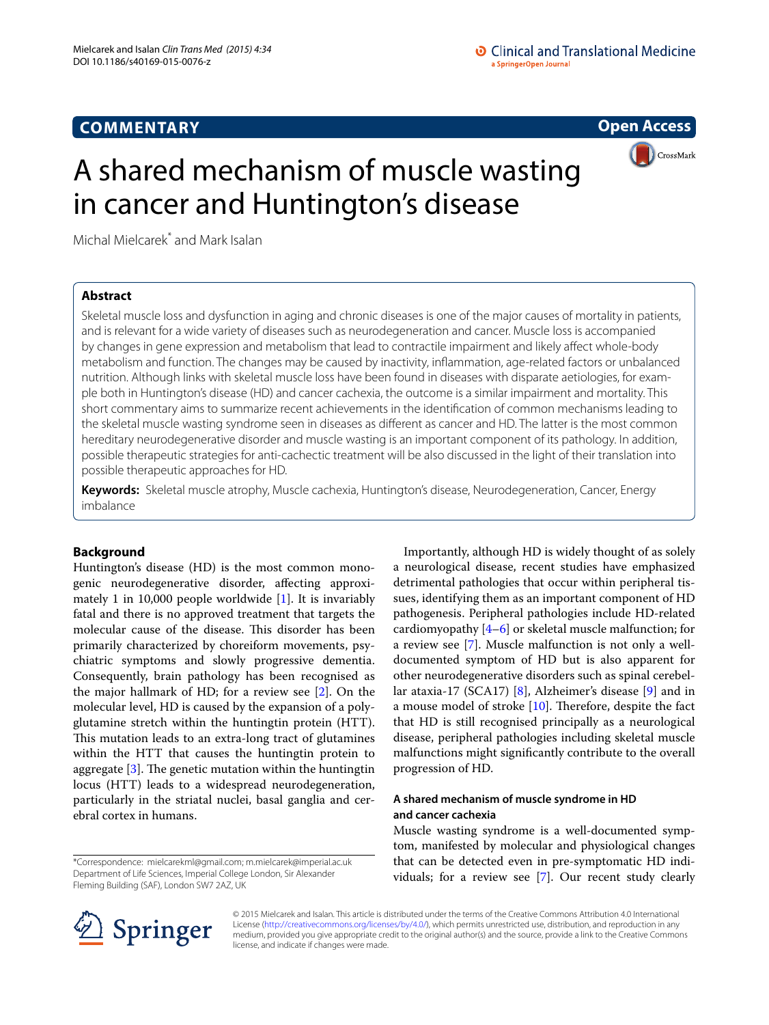**Open Access**

**CrossMark** 

# A shared mechanism of muscle wasting in cancer and Huntington's disease

Michal Mielcarek<sup>\*</sup> and Mark Isalan

# **Abstract**

Skeletal muscle loss and dysfunction in aging and chronic diseases is one of the major causes of mortality in patients, and is relevant for a wide variety of diseases such as neurodegeneration and cancer. Muscle loss is accompanied by changes in gene expression and metabolism that lead to contractile impairment and likely affect whole-body metabolism and function. The changes may be caused by inactivity, inflammation, age-related factors or unbalanced nutrition. Although links with skeletal muscle loss have been found in diseases with disparate aetiologies, for example both in Huntington's disease (HD) and cancer cachexia, the outcome is a similar impairment and mortality. This short commentary aims to summarize recent achievements in the identification of common mechanisms leading to the skeletal muscle wasting syndrome seen in diseases as different as cancer and HD. The latter is the most common hereditary neurodegenerative disorder and muscle wasting is an important component of its pathology. In addition, possible therapeutic strategies for anti-cachectic treatment will be also discussed in the light of their translation into possible therapeutic approaches for HD.

**Keywords:** Skeletal muscle atrophy, Muscle cachexia, Huntington's disease, Neurodegeneration, Cancer, Energy imbalance

## **Background**

Huntington's disease (HD) is the most common monogenic neurodegenerative disorder, affecting approximately 1 in 10,000 people worldwide [\[1](#page-2-0)]. It is invariably fatal and there is no approved treatment that targets the molecular cause of the disease. This disorder has been primarily characterized by choreiform movements, psychiatric symptoms and slowly progressive dementia. Consequently, brain pathology has been recognised as the major hallmark of HD; for a review see [[2\]](#page-2-1). On the molecular level, HD is caused by the expansion of a polyglutamine stretch within the huntingtin protein (HTT). This mutation leads to an extra-long tract of glutamines within the HTT that causes the huntingtin protein to aggregate [\[3\]](#page-2-2). The genetic mutation within the huntingtin locus (HTT) leads to a widespread neurodegeneration, particularly in the striatal nuclei, basal ganglia and cerebral cortex in humans.

\*Correspondence: mielcarekml@gmail.com; m.mielcarek@imperial.ac.uk Department of Life Sciences, Imperial College London, Sir Alexander Fleming Building (SAF), London SW7 2AZ, UK

Importantly, although HD is widely thought of as solely a neurological disease, recent studies have emphasized detrimental pathologies that occur within peripheral tissues, identifying them as an important component of HD pathogenesis. Peripheral pathologies include HD-related cardiomyopathy [\[4](#page-2-3)[–6](#page-2-4)] or skeletal muscle malfunction; for a review see [[7](#page-3-0)]. Muscle malfunction is not only a welldocumented symptom of HD but is also apparent for other neurodegenerative disorders such as spinal cerebellar ataxia-17 (SCA17) [[8\]](#page-3-1), Alzheimer's disease [\[9](#page-3-2)] and in a mouse model of stroke  $[10]$  $[10]$  $[10]$ . Therefore, despite the fact that HD is still recognised principally as a neurological disease, peripheral pathologies including skeletal muscle malfunctions might significantly contribute to the overall progression of HD.

# **A shared mechanism of muscle syndrome in HD and cancer cachexia**

Muscle wasting syndrome is a well-documented symptom, manifested by molecular and physiological changes that can be detected even in pre-symptomatic HD individuals; for a review see [[7](#page-3-0)]. Our recent study clearly



© 2015 Mielcarek and Isalan. This article is distributed under the terms of the Creative Commons Attribution 4.0 International License (<http://creativecommons.org/licenses/by/4.0/>), which permits unrestricted use, distribution, and reproduction in any medium, provided you give appropriate credit to the original author(s) and the source, provide a link to the Creative Commons license, and indicate if changes were made.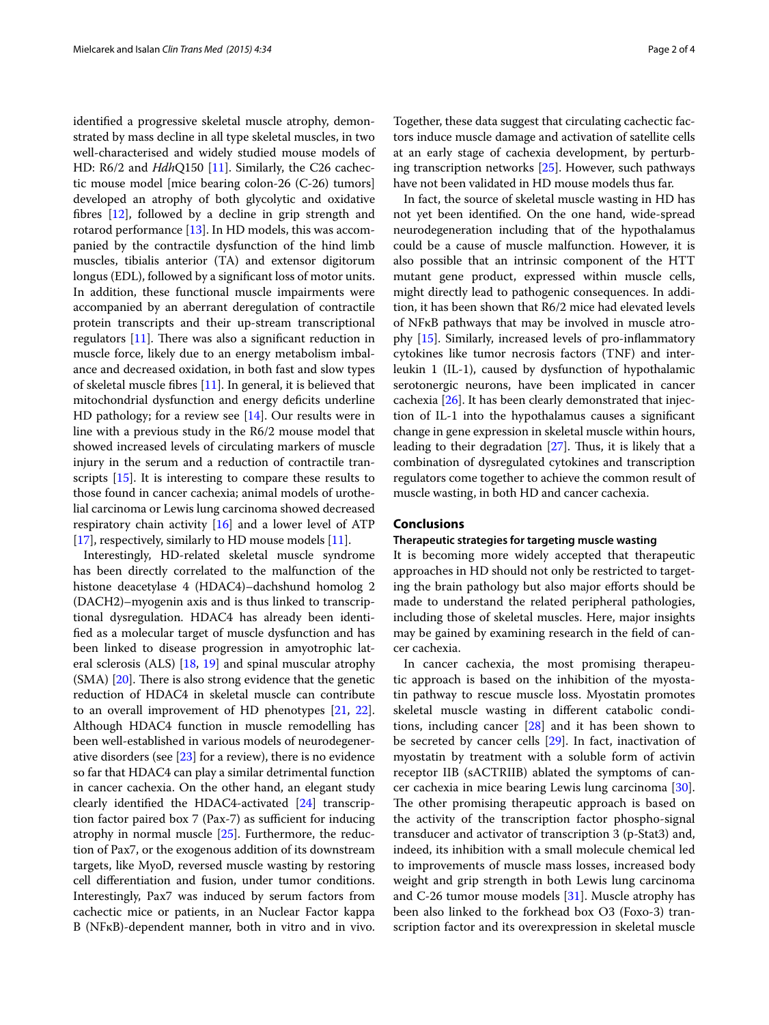identified a progressive skeletal muscle atrophy, demonstrated by mass decline in all type skeletal muscles, in two well-characterised and widely studied mouse models of HD: R6/2 and *Hdh*Q150 [\[11\]](#page-3-4). Similarly, the C26 cachectic mouse model [mice bearing colon-26 (C-26) tumors] developed an atrophy of both glycolytic and oxidative fibres [[12\]](#page-3-5), followed by a decline in grip strength and rotarod performance [[13\]](#page-3-6). In HD models, this was accompanied by the contractile dysfunction of the hind limb muscles, tibialis anterior (TA) and extensor digitorum longus (EDL), followed by a significant loss of motor units. In addition, these functional muscle impairments were accompanied by an aberrant deregulation of contractile protein transcripts and their up-stream transcriptional regulators [[11\]](#page-3-4). There was also a significant reduction in muscle force, likely due to an energy metabolism imbalance and decreased oxidation, in both fast and slow types of skeletal muscle fibres [[11](#page-3-4)]. In general, it is believed that mitochondrial dysfunction and energy deficits underline HD pathology; for a review see [[14\]](#page-3-7). Our results were in line with a previous study in the R6/2 mouse model that showed increased levels of circulating markers of muscle injury in the serum and a reduction of contractile transcripts [\[15](#page-3-8)]. It is interesting to compare these results to those found in cancer cachexia; animal models of urothelial carcinoma or Lewis lung carcinoma showed decreased respiratory chain activity  $[16]$  $[16]$  and a lower level of ATP [[17\]](#page-3-10), respectively, similarly to HD mouse models [\[11\]](#page-3-4).

Interestingly, HD-related skeletal muscle syndrome has been directly correlated to the malfunction of the histone deacetylase 4 (HDAC4)–dachshund homolog 2 (DACH2)–myogenin axis and is thus linked to transcriptional dysregulation. HDAC4 has already been identified as a molecular target of muscle dysfunction and has been linked to disease progression in amyotrophic lateral sclerosis (ALS) [\[18,](#page-3-11) [19](#page-3-12)] and spinal muscular atrophy (SMA) [[20\]](#page-3-13). There is also strong evidence that the genetic reduction of HDAC4 in skeletal muscle can contribute to an overall improvement of HD phenotypes [\[21,](#page-3-14) [22](#page-3-15)]. Although HDAC4 function in muscle remodelling has been well-established in various models of neurodegenerative disorders (see [\[23](#page-3-16)] for a review), there is no evidence so far that HDAC4 can play a similar detrimental function in cancer cachexia. On the other hand, an elegant study clearly identified the HDAC4-activated [\[24\]](#page-3-17) transcription factor paired box 7 (Pax-7) as sufficient for inducing atrophy in normal muscle [\[25\]](#page-3-18). Furthermore, the reduction of Pax7, or the exogenous addition of its downstream targets, like MyoD, reversed muscle wasting by restoring cell differentiation and fusion, under tumor conditions. Interestingly, Pax7 was induced by serum factors from cachectic mice or patients, in an Nuclear Factor kappa B (NF<sub>K</sub>B)-dependent manner, both in vitro and in vivo.

Together, these data suggest that circulating cachectic factors induce muscle damage and activation of satellite cells at an early stage of cachexia development, by perturbing transcription networks [\[25\]](#page-3-18). However, such pathways have not been validated in HD mouse models thus far.

In fact, the source of skeletal muscle wasting in HD has not yet been identified. On the one hand, wide-spread neurodegeneration including that of the hypothalamus could be a cause of muscle malfunction. However, it is also possible that an intrinsic component of the HTT mutant gene product, expressed within muscle cells, might directly lead to pathogenic consequences. In addition, it has been shown that R6/2 mice had elevated levels of NFκB pathways that may be involved in muscle atrophy [\[15](#page-3-8)]. Similarly, increased levels of pro-inflammatory cytokines like tumor necrosis factors (TNF) and interleukin 1 (IL-1), caused by dysfunction of hypothalamic serotonergic neurons, have been implicated in cancer cachexia [\[26\]](#page-3-19). It has been clearly demonstrated that injection of IL-1 into the hypothalamus causes a significant change in gene expression in skeletal muscle within hours, leading to their degradation [[27\]](#page-3-20). Thus, it is likely that a combination of dysregulated cytokines and transcription regulators come together to achieve the common result of muscle wasting, in both HD and cancer cachexia.

### **Conclusions**

#### **Therapeutic strategies for targeting muscle wasting**

It is becoming more widely accepted that therapeutic approaches in HD should not only be restricted to targeting the brain pathology but also major efforts should be made to understand the related peripheral pathologies, including those of skeletal muscles. Here, major insights may be gained by examining research in the field of cancer cachexia.

In cancer cachexia, the most promising therapeutic approach is based on the inhibition of the myostatin pathway to rescue muscle loss. Myostatin promotes skeletal muscle wasting in different catabolic conditions, including cancer [\[28](#page-3-21)] and it has been shown to be secreted by cancer cells [\[29](#page-3-22)]. In fact, inactivation of myostatin by treatment with a soluble form of activin receptor IIB (sACTRIIB) ablated the symptoms of cancer cachexia in mice bearing Lewis lung carcinoma [\[30](#page-3-23)]. The other promising therapeutic approach is based on the activity of the transcription factor phospho-signal transducer and activator of transcription 3 (p-Stat3) and, indeed, its inhibition with a small molecule chemical led to improvements of muscle mass losses, increased body weight and grip strength in both Lewis lung carcinoma and C-26 tumor mouse models [[31\]](#page-3-24). Muscle atrophy has been also linked to the forkhead box O3 (Foxo-3) transcription factor and its overexpression in skeletal muscle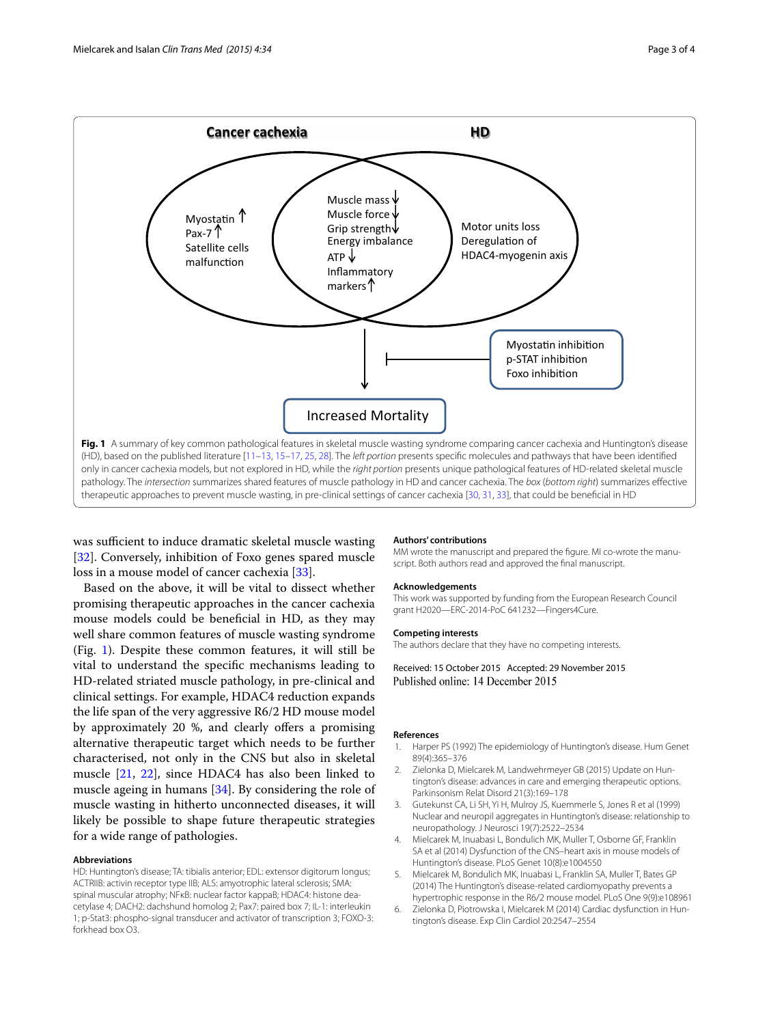

<span id="page-2-5"></span>was sufficient to induce dramatic skeletal muscle wasting [[32\]](#page-3-25). Conversely, inhibition of Foxo genes spared muscle loss in a mouse model of cancer cachexia [\[33](#page-3-26)].

Based on the above, it will be vital to dissect whether promising therapeutic approaches in the cancer cachexia mouse models could be beneficial in HD, as they may well share common features of muscle wasting syndrome (Fig. [1\)](#page-2-5). Despite these common features, it will still be vital to understand the specific mechanisms leading to HD-related striated muscle pathology, in pre-clinical and clinical settings. For example, HDAC4 reduction expands the life span of the very aggressive R6/2 HD mouse model by approximately 20 %, and clearly offers a promising alternative therapeutic target which needs to be further characterised, not only in the CNS but also in skeletal muscle [[21,](#page-3-14) [22\]](#page-3-15), since HDAC4 has also been linked to muscle ageing in humans [[34](#page-3-27)]. By considering the role of muscle wasting in hitherto unconnected diseases, it will likely be possible to shape future therapeutic strategies for a wide range of pathologies.

#### **Abbreviations**

HD: Huntington's disease; TA: tibialis anterior; EDL: extensor digitorum longus; ACTRIIB: activin receptor type IIB; ALS: amyotrophic lateral sclerosis; SMA: spinal muscular atrophy; NFκB: nuclear factor kappaB; HDAC4: histone deacetylase 4; DACH2: dachshund homolog 2; Pax7: paired box 7; IL-1: interleukin 1; p-Stat3: phospho-signal transducer and activator of transcription 3; FOXO-3: forkhead box O3.

#### **Authors' contributions**

MM wrote the manuscript and prepared the figure. MI co-wrote the manuscript. Both authors read and approved the final manuscript.

#### **Acknowledgements**

This work was supported by funding from the European Research Council grant H2020—ERC-2014-PoC 641232—Fingers4Cure.

#### **Competing interests**

The authors declare that they have no competing interests.

Received: 15 October 2015 Accepted: 29 November 2015 Published online: 14 December 2015

#### **References**

- <span id="page-2-0"></span>1. Harper PS (1992) The epidemiology of Huntington's disease. Hum Genet 89(4):365–376
- <span id="page-2-1"></span>2. Zielonka D, Mielcarek M, Landwehrmeyer GB (2015) Update on Huntington's disease: advances in care and emerging therapeutic options. Parkinsonism Relat Disord 21(3):169–178
- <span id="page-2-2"></span>3. Gutekunst CA, Li SH, Yi H, Mulroy JS, Kuemmerle S, Jones R et al (1999) Nuclear and neuropil aggregates in Huntington's disease: relationship to neuropathology. J Neurosci 19(7):2522–2534
- <span id="page-2-3"></span>4. Mielcarek M, Inuabasi L, Bondulich MK, Muller T, Osborne GF, Franklin SA et al (2014) Dysfunction of the CNS–heart axis in mouse models of Huntington's disease. PLoS Genet 10(8):e1004550
- 5. Mielcarek M, Bondulich MK, Inuabasi L, Franklin SA, Muller T, Bates GP (2014) The Huntington's disease-related cardiomyopathy prevents a hypertrophic response in the R6/2 mouse model. PLoS One 9(9):e108961
- <span id="page-2-4"></span>6. Zielonka D, Piotrowska I, Mielcarek M (2014) Cardiac dysfunction in Huntington's disease. Exp Clin Cardiol 20:2547–2554